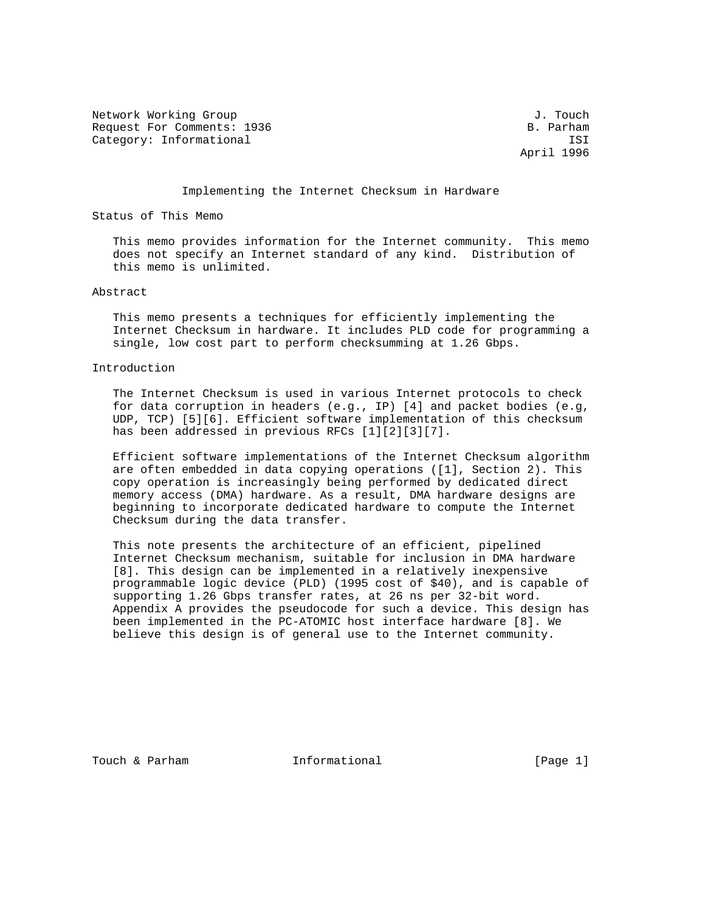Network Working Group 3. The Second Second Second Second Second Second Second Second Second Second Second Second Second Second Second Second Second Second Second Second Second Second Second Second Second Second Second Seco Request For Comments: 1936 B. Parham Category: Informational is a set of the set of the set of the set of the set of the set of the set of the set of the set of the set of the set of the set of the set of the set of the set of the set of the set of the set of

April 1996

#### Implementing the Internet Checksum in Hardware

Status of This Memo

 This memo provides information for the Internet community. This memo does not specify an Internet standard of any kind. Distribution of this memo is unlimited.

# Abstract

 This memo presents a techniques for efficiently implementing the Internet Checksum in hardware. It includes PLD code for programming a single, low cost part to perform checksumming at 1.26 Gbps.

# Introduction

 The Internet Checksum is used in various Internet protocols to check for data corruption in headers (e.g., IP) [4] and packet bodies (e.g, UDP, TCP) [5][6]. Efficient software implementation of this checksum has been addressed in previous RFCs [1][2][3][7].

 Efficient software implementations of the Internet Checksum algorithm are often embedded in data copying operations ([1], Section 2). This copy operation is increasingly being performed by dedicated direct memory access (DMA) hardware. As a result, DMA hardware designs are beginning to incorporate dedicated hardware to compute the Internet Checksum during the data transfer.

 This note presents the architecture of an efficient, pipelined Internet Checksum mechanism, suitable for inclusion in DMA hardware [8]. This design can be implemented in a relatively inexpensive programmable logic device (PLD) (1995 cost of \$40), and is capable of supporting 1.26 Gbps transfer rates, at 26 ns per 32-bit word. Appendix A provides the pseudocode for such a device. This design has been implemented in the PC-ATOMIC host interface hardware [8]. We believe this design is of general use to the Internet community.

Touch & Parham **Informational Informational** [Page 1]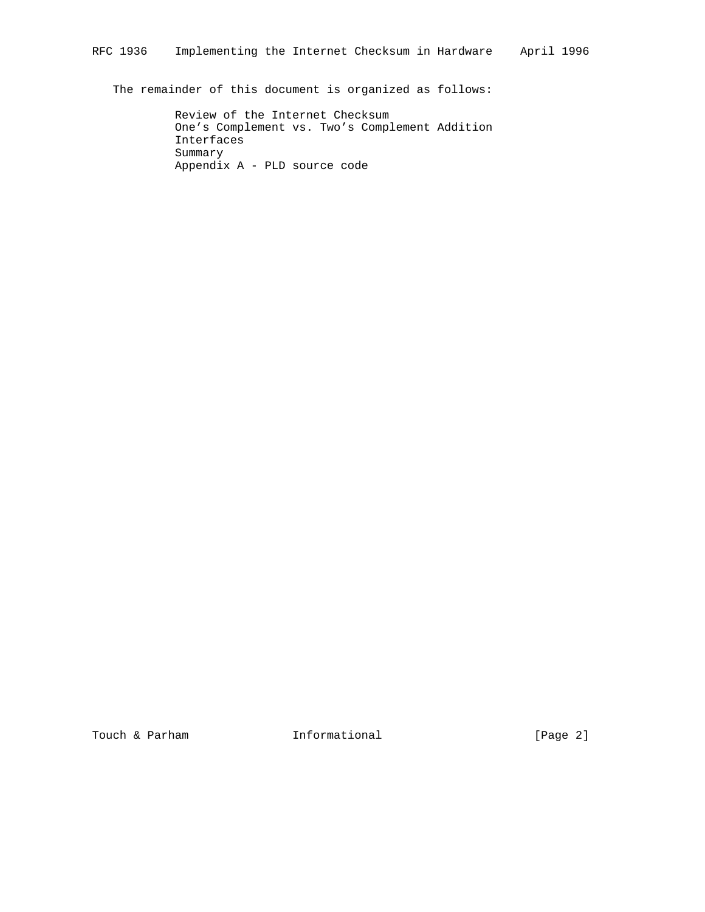The remainder of this document is organized as follows:

 Review of the Internet Checksum One's Complement vs. Two's Complement Addition Interfaces Summary Appendix A - PLD source code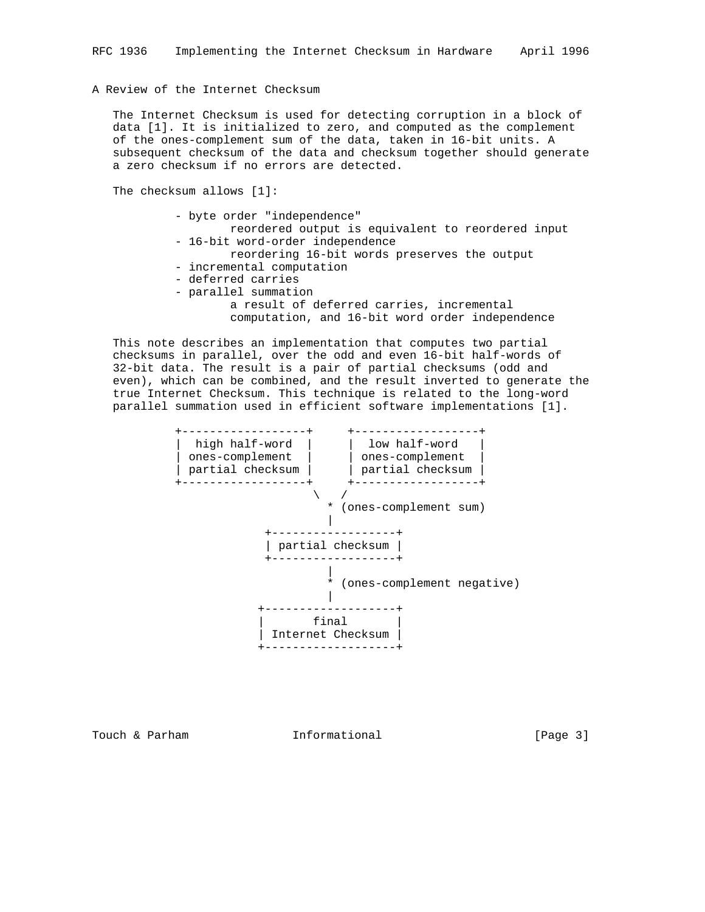# A Review of the Internet Checksum

 The Internet Checksum is used for detecting corruption in a block of data [1]. It is initialized to zero, and computed as the complement of the ones-complement sum of the data, taken in 16-bit units. A subsequent checksum of the data and checksum together should generate a zero checksum if no errors are detected.

The checksum allows [1]:

| - byte order "independence"                       |
|---------------------------------------------------|
| reordered output is equivalent to reordered input |
| - 16-bit word-order independence                  |
| reordering 16-bit words preserves the output      |
| - incremental computation                         |
| - deferred carries                                |
| - parallel summation                              |
| a result of deferred carries, incremental         |
| computation, and 16-bit word order independence   |
|                                                   |

 This note describes an implementation that computes two partial checksums in parallel, over the odd and even 16-bit half-words of 32-bit data. The result is a pair of partial checksums (odd and even), which can be combined, and the result inverted to generate the true Internet Checksum. This technique is related to the long-word parallel summation used in efficient software implementations [1].



Touch & Parham **Informational Informational** [Page 3]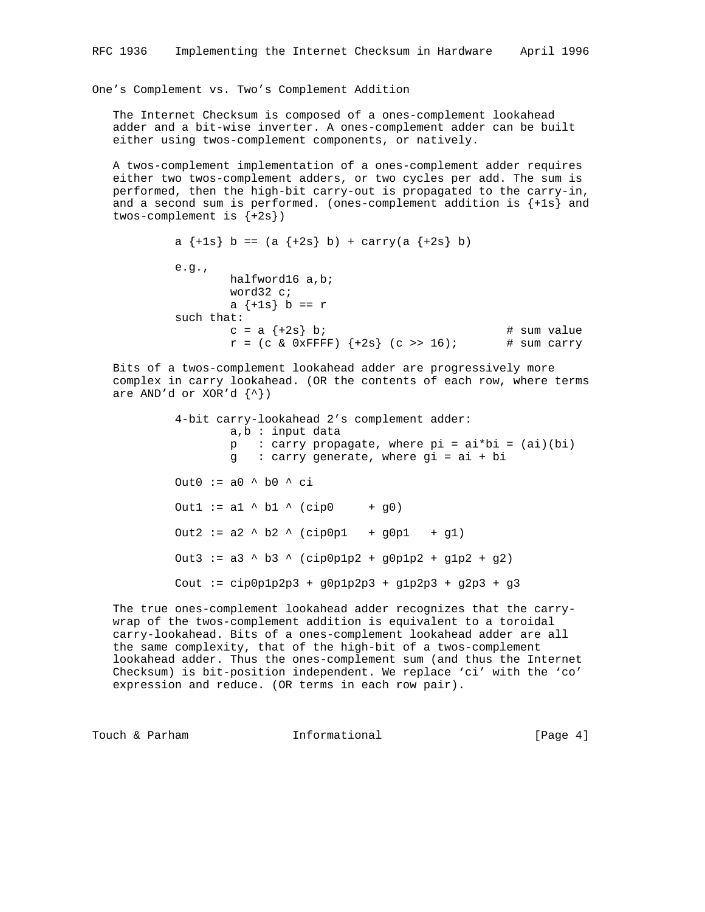One's Complement vs. Two's Complement Addition

 The Internet Checksum is composed of a ones-complement lookahead adder and a bit-wise inverter. A ones-complement adder can be built either using twos-complement components, or natively.

 A twos-complement implementation of a ones-complement adder requires either two twos-complement adders, or two cycles per add. The sum is performed, then the high-bit carry-out is propagated to the carry-in, and a second sum is performed. (ones-complement addition is  $\{+1\mathbf{s}\}$  and twos-complement is  ${+2s}$ )

```
a \{+1s\} b == (a \{+2s\} b) + carry(a \{+2s\} b)
e.g., halfword16 a,b;
         word32 c;
        a \{-1s\} b == r
 such that:
        c = a \{+2s\} b; \qquad \qquad \qquad \text{# sum value}r = (c \& 0 \times FFFF) \{+2s\} (c \gg 16); # sum carry
```
 Bits of a twos-complement lookahead adder are progressively more complex in carry lookahead. (OR the contents of each row, where terms are AND'd or XOR'd  $\{\uparrow\}$ )

> 4-bit carry-lookahead 2's complement adder: a,b : input data  $p : carry propagate, where pi = ai *bi = (ai)(bi)$  g : carry generate, where gi = ai + bi Out0 :=  $a0 \land b0 \land ci$ Outl := al  $\land$  bl  $\land$  (cip0 + g0) Out2 :=  $a2 \land b2 \land (cip0p1 + g0p1 + g1)$  Out3 := a3 ^ b3 ^ (cip0p1p2 + g0p1p2 + g1p2 + g2) Cout := cip0p1p2p3 + g0p1p2p3 + g1p2p3 + g2p3 + g3

 The true ones-complement lookahead adder recognizes that the carry wrap of the twos-complement addition is equivalent to a toroidal carry-lookahead. Bits of a ones-complement lookahead adder are all the same complexity, that of the high-bit of a twos-complement lookahead adder. Thus the ones-complement sum (and thus the Internet Checksum) is bit-position independent. We replace 'ci' with the 'co' expression and reduce. (OR terms in each row pair).

Touch & Parham **Informational Informational** [Page 4]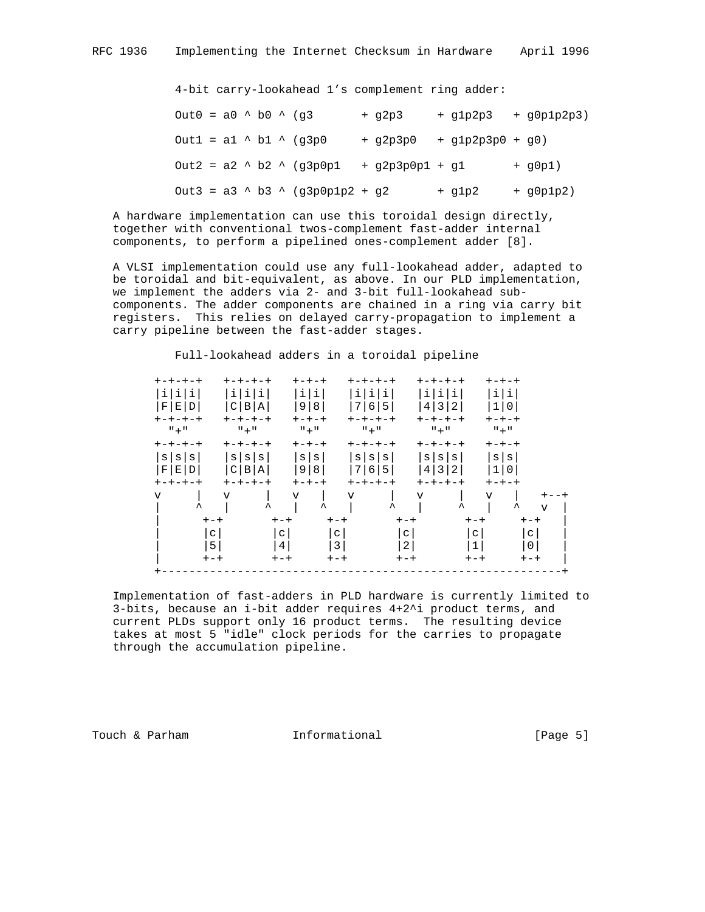4-bit carry-lookahead 1's complement ring adder:

 $Out0 = a0$  ^ b0 ^ (g3 + g2p3 + g1p2p3 + g0p1p2p3)  $Out1 = a1 \land b1 \land (g3p0 + g2p3p0 + g1p2p3p0 + g0)$  $Out2 = a2 \text{ } b2 \text{ } c$  (g3p0p1 + g2p3p0p1 + g1 + g0p1)  $0$ ut3 = a3  $\land$  b3  $\land$  (g3p0p1p2 + g2 + g1p2 + g0p1p2)

 A hardware implementation can use this toroidal design directly, together with conventional twos-complement fast-adder internal components, to perform a pipelined ones-complement adder [8].

 A VLSI implementation could use any full-lookahead adder, adapted to be toroidal and bit-equivalent, as above. In our PLD implementation, we implement the adders via 2- and 3-bit full-lookahead sub components. The adder components are chained in a ring via carry bit registers. This relies on delayed carry-propagation to implement a carry pipeline between the fast-adder stages.

 Full-lookahead adders in a toroidal pipeline +-+-+-+ +-+-+-+ +-+-+ +-+-+-+ +-+-+-+ +-+-+ |i|i|i| |i|i|i| |i|i| |i|i|i| |i|i|i| |i|i| |F|E|D| |C|B|A| |9|8| |7|6|5| |4|3|2| |1|0| +-+-+-+ +-+-+-+ +-+-+ +-+-+-+ +-+-+-+ +-+-+

| F <br>Е<br>D<br>$+ - + - + - +$                 | C                                     | $\vert B \vert$<br>Α<br>$+ - + - + - +$ | 9 <br>8<br>$+ - + - +$                 | 7<br>6 <br>$+ - + - + - +$ | 5                             | $\mathbf{3}$<br>4<br>2 <sub>1</sub><br>$+ - + - + - +$                 | $\mathbf{1}$<br>$+ - + - +$    | $\mathbf 0$                 |  |
|-------------------------------------------------|---------------------------------------|-----------------------------------------|----------------------------------------|----------------------------|-------------------------------|------------------------------------------------------------------------|--------------------------------|-----------------------------|--|
| $" + "$                                         |                                       | $" + "$                                 | $" + "$                                | $" + "$                    |                               | $" + "$                                                                | $" + "$                        |                             |  |
| $+ - + - + - +$                                 |                                       | $+ - + - + - +$                         | $+ - + - +$                            | $+ - + - + - +$            |                               | $+ - + - + - +$                                                        | $+ - + - +$                    |                             |  |
| $\mathbf{s}$<br>S<br>S<br>$\mathbf F$<br>Е<br>D | S<br>C                                | $\mathtt{s}$<br>S<br>$\, {\bf B}$<br>Α  | $\mathbf{s}$<br>$\mathbf s$<br>9 <br>8 | S<br> S <br>7<br>6         | $\mathtt{s}$<br>5             | $\mathtt{s}$<br>$\mathtt{s}$<br>$\mathbf{s}$<br>$\mathbf{3}$<br>4<br>2 | $\vert$ s<br>$\mathbf{s}$<br>1 | $\mathsf{O}\xspace$         |  |
| $+ - + - + - +$                                 |                                       | $+ - + - + - +$                         | $+ - + - +$                            | $+ - + - + - +$            |                               | $+ - + - + - +$                                                        | $+ - + - +$                    |                             |  |
| $\overline{\mathsf{v}}$                         | $\overline{V}$<br>$\hat{\phantom{a}}$ | $\hat{\phantom{a}}$                     | v<br>$\boldsymbol{\lambda}$            | $\triangledown$            | $\hat{\phantom{a}}$           | $\triangledown$<br>ᄉ                                                   | $\triangledown$                | ᄉ                           |  |
|                                                 | $+-+$                                 | $+-+$                                   |                                        | $+-+$                      | $+-+$                         |                                                                        | $+-+$                          | $\mathbf{v}$<br>$+-+$       |  |
|                                                 | C<br>5                                | С<br>$\overline{4}$                     |                                        | $\frac{c}{3}$              | $\mathsf C$<br>$\overline{2}$ |                                                                        | C<br>$1\,$                     | $\mathtt{C}$<br>$\mathbf 0$ |  |
|                                                 | $+-+$                                 | $+-+$                                   |                                        | $+-+$                      | $+-+$                         |                                                                        | $+-+$                          | $+-+$                       |  |
|                                                 |                                       |                                         |                                        |                            |                               |                                                                        |                                |                             |  |

 Implementation of fast-adders in PLD hardware is currently limited to 3-bits, because an i-bit adder requires 4+2^i product terms, and current PLDs support only 16 product terms. The resulting device takes at most 5 "idle" clock periods for the carries to propagate through the accumulation pipeline.

Touch & Parham **Informational Informational** [Page 5]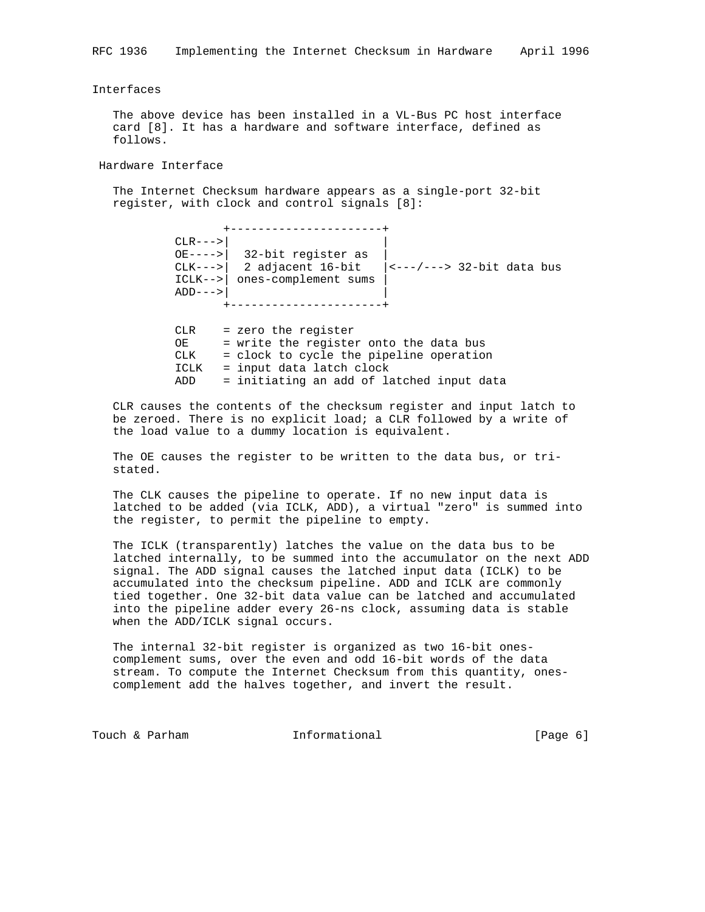# Interfaces

 The above device has been installed in a VL-Bus PC host interface card [8]. It has a hardware and software interface, defined as follows.

Hardware Interface

 The Internet Checksum hardware appears as a single-port 32-bit register, with clock and control signals [8]:

+----------------------+<br>|<br>| CLR--->  $CLR--->$  | OE---->| 32-bit register as | CLK--->| 2 adjacent 16-bit |<---/---> 32-bit data bus ICLK-->| ones-complement sums | ADD--->| | +----------------------+

> CLR = zero the register OE = write the register onto the data bus CLK = clock to cycle the pipeline operation ICLK = input data latch clock ADD = initiating an add of latched input data

 CLR causes the contents of the checksum register and input latch to be zeroed. There is no explicit load; a CLR followed by a write of the load value to a dummy location is equivalent.

 The OE causes the register to be written to the data bus, or tri stated.

 The CLK causes the pipeline to operate. If no new input data is latched to be added (via ICLK, ADD), a virtual "zero" is summed into the register, to permit the pipeline to empty.

 The ICLK (transparently) latches the value on the data bus to be latched internally, to be summed into the accumulator on the next ADD signal. The ADD signal causes the latched input data (ICLK) to be accumulated into the checksum pipeline. ADD and ICLK are commonly tied together. One 32-bit data value can be latched and accumulated into the pipeline adder every 26-ns clock, assuming data is stable when the ADD/ICLK signal occurs.

 The internal 32-bit register is organized as two 16-bit ones complement sums, over the even and odd 16-bit words of the data stream. To compute the Internet Checksum from this quantity, ones complement add the halves together, and invert the result.

Touch & Parham **Informational** 100 minutional [Page 6]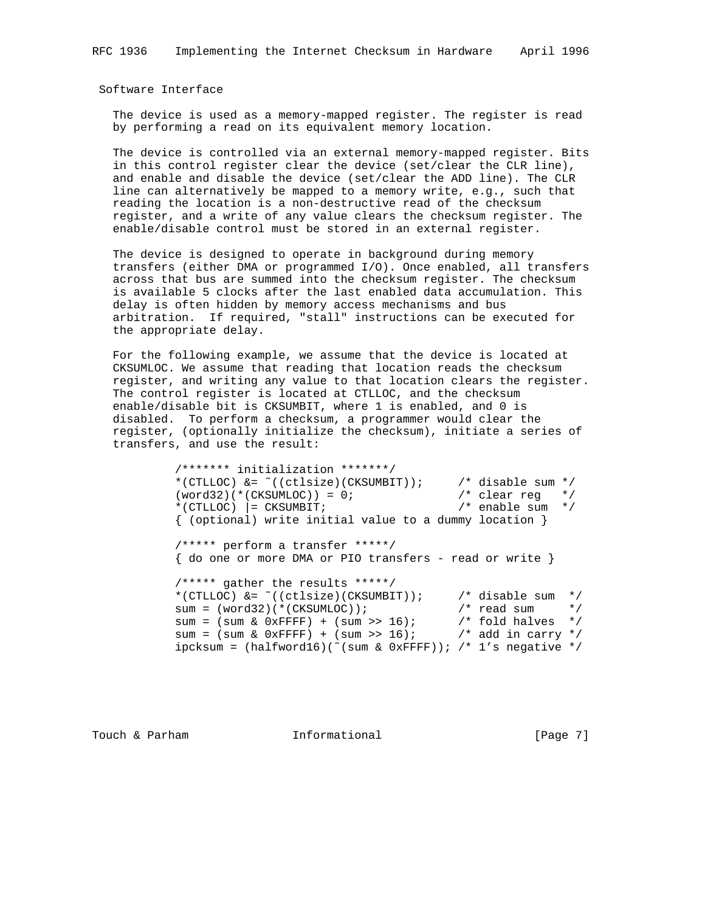Software Interface

 The device is used as a memory-mapped register. The register is read by performing a read on its equivalent memory location.

 The device is controlled via an external memory-mapped register. Bits in this control register clear the device (set/clear the CLR line), and enable and disable the device (set/clear the ADD line). The CLR line can alternatively be mapped to a memory write, e.g., such that reading the location is a non-destructive read of the checksum register, and a write of any value clears the checksum register. The enable/disable control must be stored in an external register.

 The device is designed to operate in background during memory transfers (either DMA or programmed I/O). Once enabled, all transfers across that bus are summed into the checksum register. The checksum is available 5 clocks after the last enabled data accumulation. This delay is often hidden by memory access mechanisms and bus arbitration. If required, "stall" instructions can be executed for the appropriate delay.

 For the following example, we assume that the device is located at CKSUMLOC. We assume that reading that location reads the checksum register, and writing any value to that location clears the register. The control register is located at CTLLOC, and the checksum enable/disable bit is CKSUMBIT, where 1 is enabled, and 0 is disabled. To perform a checksum, a programmer would clear the register, (optionally initialize the checksum), initiate a series of transfers, and use the result:

 /\*\*\*\*\*\*\* initialization \*\*\*\*\*\*\*/ \*(CTLLOC) &= ~((ctlsize)(CKSUMBIT)); /\* disable sum \*/<br>(word32)(\*(CKSUMLOC)) = 0; /\* clear reg \*/  $(word32) (* (CKSUMLOC)) = 0;$  /\* clear reg \*/<br>\*(CTLLOC) = CKSUMBIT; /\* enable sum \*/  $*(CTLLOC)$   $= CKSUMBIT;$  { (optional) write initial value to a dummy location } /\*\*\*\*\* perform a transfer \*\*\*\*\*/  $\{$  do one or more DMA or PIO transfers - read or write  $\}$  /\*\*\*\*\* gather the results \*\*\*\*\*/ \*(CTLLOC) &= ~((ctlsize)(CKSUMBIT)); /\* disable sum \*/ sum = (word32)(\*(CKSUMLOC)); /\* read sum \*/ sum = (sum & 0xFFFF) + (sum >> 16);  $\gamma$  fold halves \*/ sum = (sum & 0xFFFF) + (sum >> 16); /\* add in carry \*/ ipcksum =  $(halfword16)$  (~(sum & 0xFFFF)); /\* 1's negative \*/

Touch & Parham **Informational Informational** [Page 7]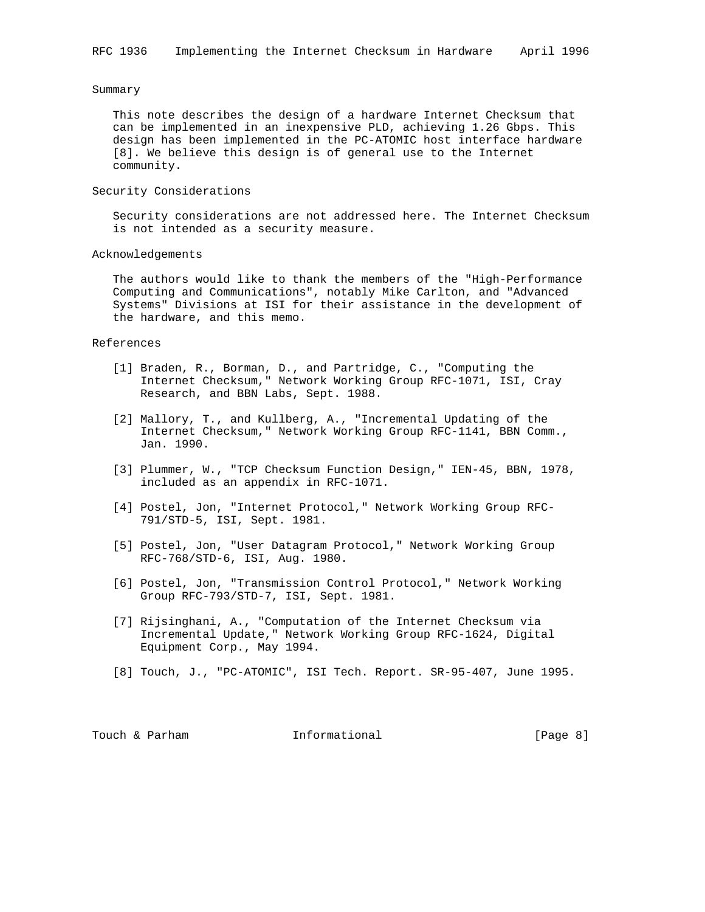#### Summary

 This note describes the design of a hardware Internet Checksum that can be implemented in an inexpensive PLD, achieving 1.26 Gbps. This design has been implemented in the PC-ATOMIC host interface hardware [8]. We believe this design is of general use to the Internet community.

### Security Considerations

 Security considerations are not addressed here. The Internet Checksum is not intended as a security measure.

#### Acknowledgements

 The authors would like to thank the members of the "High-Performance Computing and Communications", notably Mike Carlton, and "Advanced Systems" Divisions at ISI for their assistance in the development of the hardware, and this memo.

### References

- [1] Braden, R., Borman, D., and Partridge, C., "Computing the Internet Checksum," Network Working Group RFC-1071, ISI, Cray Research, and BBN Labs, Sept. 1988.
- [2] Mallory, T., and Kullberg, A., "Incremental Updating of the Internet Checksum," Network Working Group RFC-1141, BBN Comm., Jan. 1990.
- [3] Plummer, W., "TCP Checksum Function Design," IEN-45, BBN, 1978, included as an appendix in RFC-1071.
- [4] Postel, Jon, "Internet Protocol," Network Working Group RFC- 791/STD-5, ISI, Sept. 1981.
- [5] Postel, Jon, "User Datagram Protocol," Network Working Group RFC-768/STD-6, ISI, Aug. 1980.
- [6] Postel, Jon, "Transmission Control Protocol," Network Working Group RFC-793/STD-7, ISI, Sept. 1981.
- [7] Rijsinghani, A., "Computation of the Internet Checksum via Incremental Update," Network Working Group RFC-1624, Digital Equipment Corp., May 1994.
- [8] Touch, J., "PC-ATOMIC", ISI Tech. Report. SR-95-407, June 1995.

| Informational<br>Touch & Parham | [Page 8] |  |  |
|---------------------------------|----------|--|--|
|---------------------------------|----------|--|--|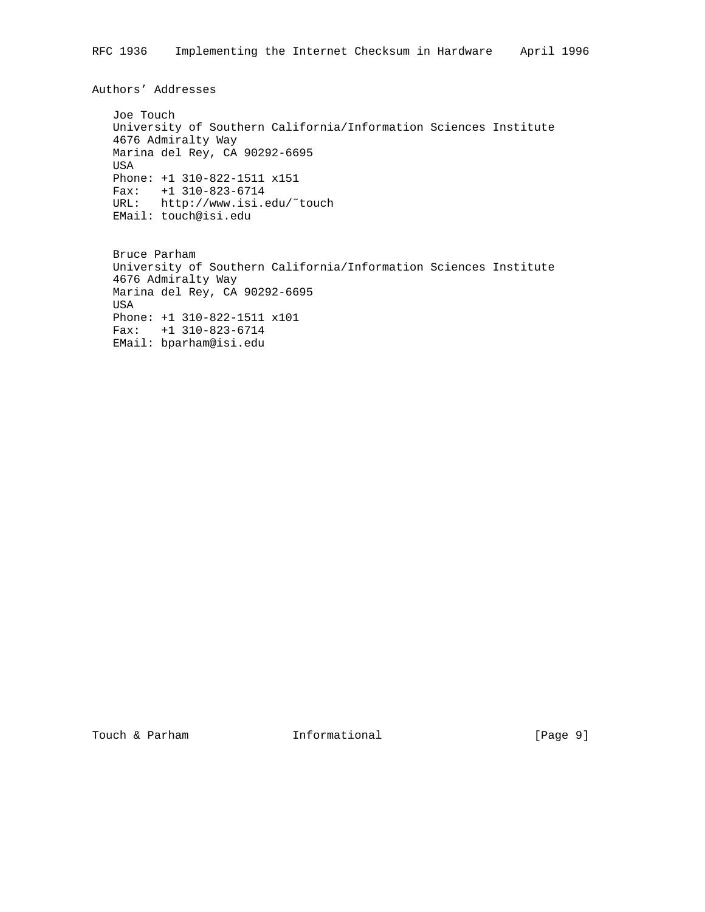Authors' Addresses

 Joe Touch University of Southern California/Information Sciences Institute 4676 Admiralty Way Marina del Rey, CA 90292-6695 USA Phone: +1 310-822-1511 x151 Fax: +1 310-823-6714 URL: http://www.isi.edu/˜touch EMail: touch@isi.edu

 Bruce Parham University of Southern California/Information Sciences Institute 4676 Admiralty Way Marina del Rey, CA 90292-6695 USA Phone: +1 310-822-1511 x101 Fax: +1 310-823-6714 EMail: bparham@isi.edu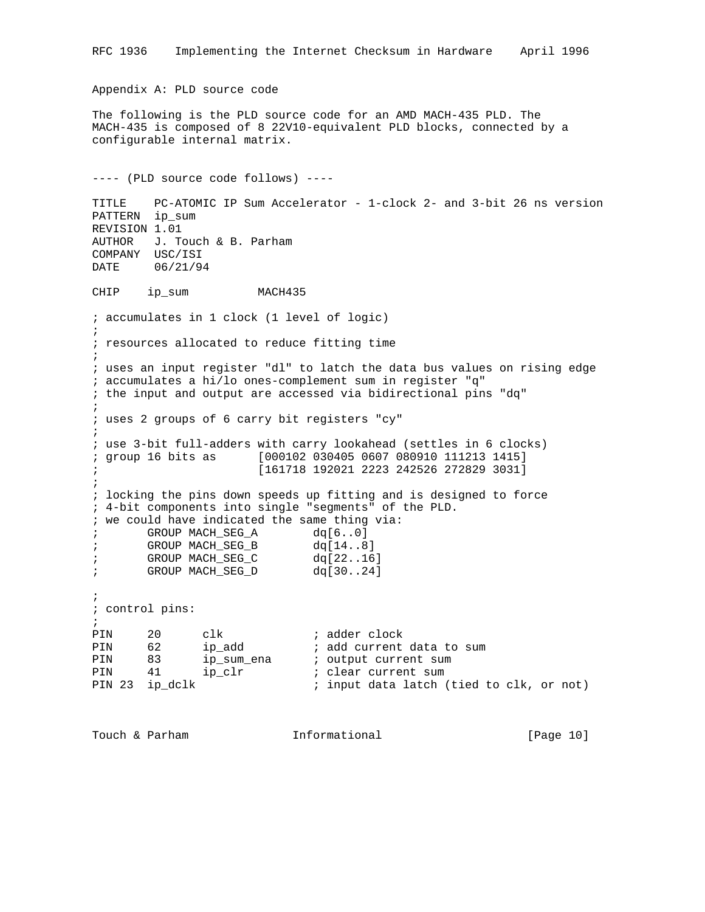```
Appendix A: PLD source code
The following is the PLD source code for an AMD MACH-435 PLD. The
MACH-435 is composed of 8 22V10-equivalent PLD blocks, connected by a
configurable internal matrix.
---- (PLD source code follows) ----
TITLE PC-ATOMIC IP Sum Accelerator - 1-clock 2- and 3-bit 26 ns version
PATTERN ip_sum
REVISION 1.01
AUTHOR J. Touch & B. Parham
COMPANY USC/ISI
DATE 06/21/94
CHIP ip_sum MACH435
; accumulates in 1 clock (1 level of logic)
;
; resources allocated to reduce fitting time
;
; uses an input register "dl" to latch the data bus values on rising edge
; accumulates a hi/lo ones-complement sum in register "q"
; the input and output are accessed via bidirectional pins "dq"
;
; uses 2 groups of 6 carry bit registers "cy"
;
; use 3-bit full-adders with carry lookahead (settles in 6 clocks)
; group 16 bits as [000102 030405 0607 080910 111213 1415]
                     ; [161718 192021 2223 242526 272829 3031]
;
; locking the pins down speeds up fitting and is designed to force
; 4-bit components into single "segments" of the PLD.
; we could have indicated the same thing via:
; GROUP MACH_SEG_A dq[6..0]
; GROUP MACH_SEG_B dq[14..8]
; GROUP MACH_SEG_C dq[22..16]
; GROUP MACH_SEG_D dq[30..24]
;
; control pins:
;
PIN 20 clk ; adder clock
PIN 62 ip_add     ; add current data to sum
PIN 83 ip_sum_ena ; output current sum
PIN 41 ip_clr   ; clear current sum
PIN 23 ip_dclk ; input data latch (tied to clk, or not)
```
RFC 1936 Implementing the Internet Checksum in Hardware April 1996

```
Touch & Parham Informational [Page 10]
```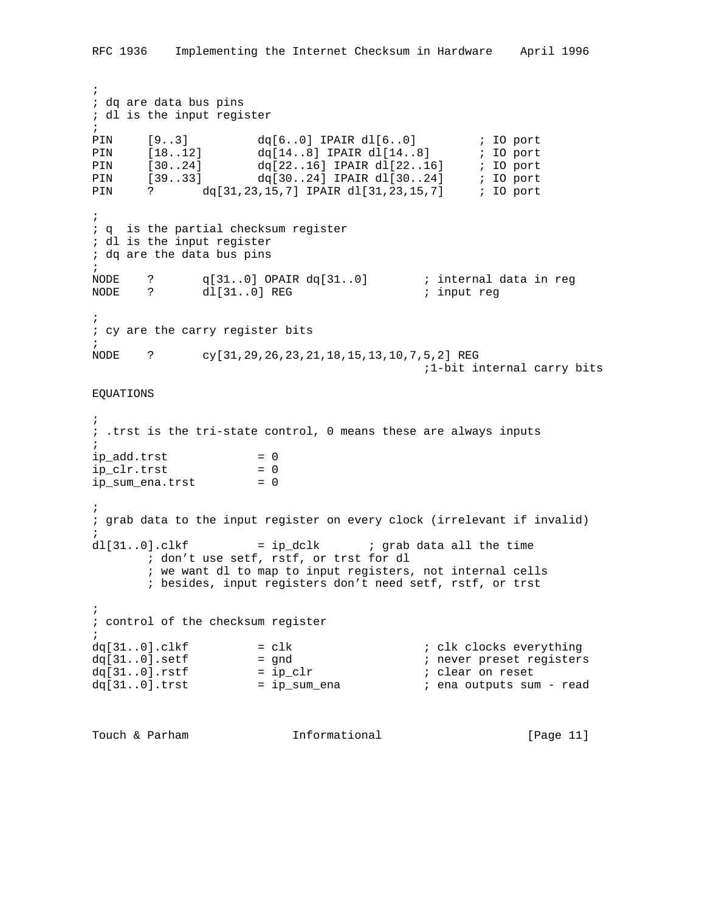```
;
; dq are data bus pins
; dl is the input register
;
PIN [9..3] dq[6..0] IPAIR dl[6..0] ; IO port
PIN [18..12] dq[14..8] IPAIR dl[14..8] ; IO port
PIN [30..24] dq[22..16] IPAIR dl[22..16] ; IO port
PIN [39..33] dq[30..24] IPAIR dl[30..24] ; IO port
PIN ? dq[31,23,15,7] IPAIR dl[31,23,15,7] ; IO port
;
; q is the partial checksum register
; dl is the input register
; dq are the data bus pins
;
NODE ? q[31..0] OPAIR dq[31..0] ; internal data in reg
NODE ? dl[31..0] REG ; input reg
\mathbf{i}; cy are the carry register bits
;
NODE ? cy[31,29,26,23,21,18,15,13,10,7,5,2] REG
                                         ;1-bit internal carry bits
EQUATIONS
;
; .trst is the tri-state control, 0 means these are always inputs
;
ip\_add.trst = 0
ip_clr.trst = 0
ip_sum_ena.trst = 0
;
; grab data to the input register on every clock (irrelevant if invalid)
;
dl[31..0].clkf = ip_dclk ; grab data all the time
       ; don't use setf, rstf, or trst for dl
       ; we want dl to map to input registers, not internal cells
       ; besides, input registers don't need setf, rstf, or trst
;
; control of the checksum register
;
dq[31..0].clkf = clk ; clk clocks everything
dq[31..0].setf = gnd ; never preset registers
dq[31..0].rstf = ip_clr ; clear on reset
dq[31..0].trst = ip_sum_ena ; ena outputs sum - read
```

```
Touch & Parham Informational [Page 11]
```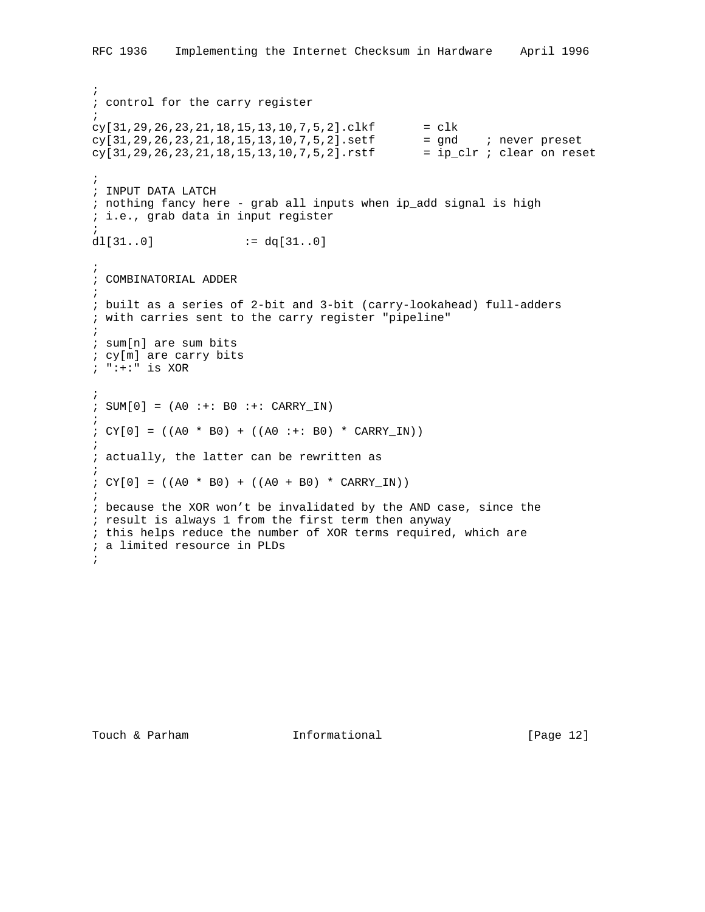```
;
; control for the carry register
;
cy[31,29,26,23,21,18,15,13,10,7,5,2].clkf = clk
cy[31,29,26,23,21,18,15,13,10,7,5,2].setf = gnd ; never preset
cy[31,29,26,23,21,18,15,13,10,7,5,2].rstf = ip_clr ; clear on reset
;
; INPUT DATA LATCH
; nothing fancy here - grab all inputs when ip_add signal is high
; i.e., grab data in input register
;
dl[31..0] := dq[31..0];
; COMBINATORIAL ADDER
;
; built as a series of 2-bit and 3-bit (carry-lookahead) full-adders
; with carries sent to the carry register "pipeline"
;
; sum[n] are sum bits
; cy[m] are carry bits
; ":+:" is XOR
;
: SUM[0] = (AO : +: BO : +: CARRY_IN);
; CY[0] = ((A0 * B0) + ((A0 : +: B0) * CARRYIN));
; actually, the latter can be rewritten as
;
; CY[0] = ((A0 * B0) + ((A0 + B0) * CARRYIN));
; because the XOR won't be invalidated by the AND case, since the
; result is always 1 from the first term then anyway
; this helps reduce the number of XOR terms required, which are
; a limited resource in PLDs
;
```
RFC 1936 Implementing the Internet Checksum in Hardware April 1996

Touch & Parham **Informational** [Page 12]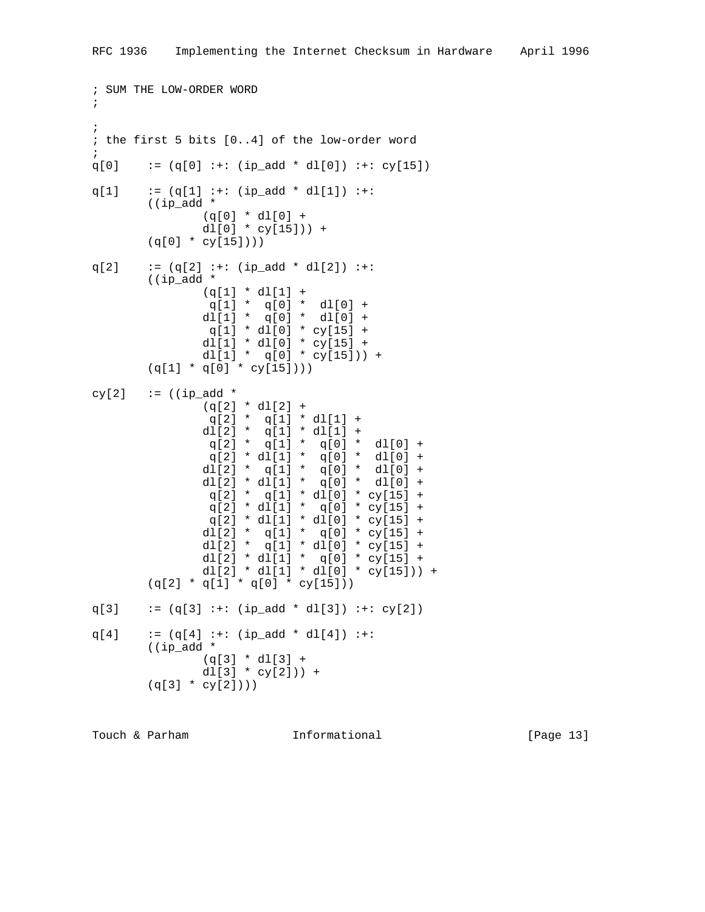```
; SUM THE LOW-ORDER WORD
;
;
; the first 5 bits [0..4] of the low-order word
;
q[0] := (q[0] :+: (ip\_add * d1[0]) :+: cy[15])q[1] := (q[1] :+: (ip\_add * d1[1]) :+: ((ip_add *
                (q[0] * dl[0] +
               dl[0] * cy[15]) +
        (q[0] * cy[15]))q[2] := (q[2] :+: (ip\_add * d1[2]) :+: ((ip_add *
               (q[1] * d][1] + q[1] * q[0] * dl[0] +
               dl[1] * q[0] * dl[0] +
                q[1] * d1[0] * cy[15] + dl[1] * dl[0] * cy[15] +
               dl[1] * q[0] * cy[15]) +
        (q[1] * q[0] * cy[15]))cy[2] := ((ip_add *
               (q[2] * d1[2] +q[2] * q[1] * d1[1] + dl[2] * q[1] * dl[1] +
                 q[2] * q[1] * q[0] * dl[0] +
                q[2] * d][1] * q[0] * d][0] +dl[2] * q[1] * q[0] * dl[0] +
               dl[2] * dl[1] * q[0] * dl[0] +
                q[2] * q[1] * d[0] * cy[15] +q[2] * d][1] * q[0] * cy[15] +q[2] * d][1] * d[(0] * cy[15] +dl[2] * q[1] * q[0] * cy[15] +
               dl[2] * q[1] * dl[0] * cy[15] +
               dl[2] * dl[1] * q[0] * cy[15] +
               dl[2] * dl[1] * dl[0] * cy[15])) +
        (q[2] * q[1] * q[0] * cy[15]))q[3] := (q[3] :+: (ip\_add * d1[3]) :+: cy[2])q[4] := (q[4] :+: (ip\_add * d1[4]) :+:
         ((ip_add *
               (q[3] * d1[3] + dl[3] * cy[2])) +
        (q[3] * cy[2]))
```
Touch & Parham **Informational** [Page 13]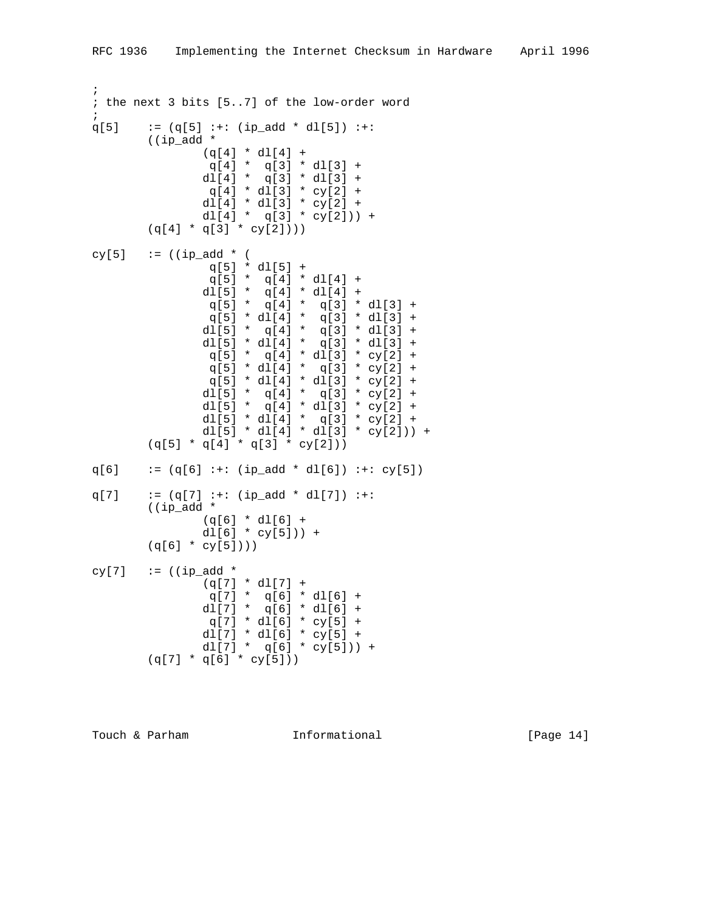```
;
; the next 3 bits [5..7] of the low-order word
;
q[5] := (q[5] :+: (ip\_add * d1[5]) :+:
        ((ip_add *
              (q[4] * d][4] +q[4] * q[3] * d1[3] +dl[4] * q[3] * dl[3] +q[4] * d1[3] * cy[2] +dl[4] * dl[3] * cy[2] +dl[4] * q[3] * cy[2]) +
       (q[4] * q[3] * cy[2]))cy[5] := ((ip\_add * (i))q[5] * d][5] + q[5] * q[4] * dl[4] +
dl[5] * q[4] * dl[4] +q[5] * q[4] * q[3] * dl[3] +
               q[5] * d[(4] * q[3] * d[(3] +dl[5] * q[4] * q[3] * dl[3] +
dl[5] * dl[4] * q[3] * dl[3] +
                q[5] * q[4] * dl[3] * cy[2] +
              q[5] * dl[4] * q[3] * cy[2] +
              q[5] * dl[4] * dl[3] * cy[2] +
              dl[5] * q[4] * q[3] * cy[2] +
              dl[5] * q[4] * dl[3] * cy[2] +
              dl[5] * dl[4] * q[3] * cy[2] +
              dl[5] * dl[4] * dl[3] * cy[2])) +
       (q[5] * q[4] * q[3] * cy[2]))q[6] := (q[6] :+: (ip\_add * d1[6]) :+: cy[5])q[7] := (q[7] :+: (ip\_add * d1[7]) :+:
        ((ip_add *
              (q[6] * d][6] +dl[6] * cy[5]) +
       (q[6] * cy[5]))cy[7] := ((ip_add *
              (q[7] * d1[7] +q[7] * q[6] * dl[6] +dl[7] * q[6] * dl[6] +q[7] * d1[6] * cy[5] +dl[7] * dl[6] * cy[5] +dl[7] * q[6] * cy[5]) +
       (q[7] * q[6] * cy[5]))
```
Touch & Parham **Informational** [Page 14]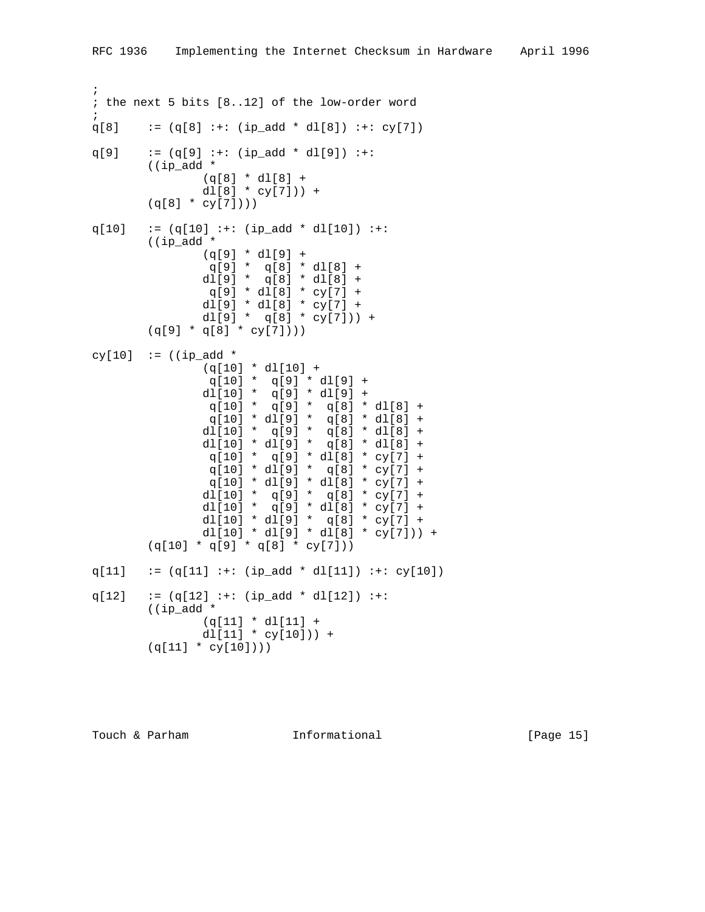```
;
; the next 5 bits [8..12] of the low-order word
;
q[8] := (q[8] :+: (ip\_add * d1[8]) :+: cy[7])q[9] := (q[9] :+: (ip\_add * dl[9]) :+: ((ip_add *
              (q[8] * d1[8] +dl[8] * cy[7]) +
       (q[8] * cy[7]))q[10] := (q[10] :+: (ip\_add * d1[10]) :+:
        ((ip_add *
              (q[9] * d1[9] +q[9] * q[8] * dl[8] +dl[9] * q[8] * dl[8] + q[9] * dl[8] * cy[7] +
              dl[9] * dl[8] * cy[7] +dl[9] * q[8] * cy[7])) +
       (q[9] * q[8] * cy[7]))cy[10] := ((ip_add *
               (q[10] * dl[10] +
                q[10] * q[9] * dl[9] +
              dl[10] * q[9] * dl[9] +
               q[10] * q[9] * q[8] * dl[8] +
 q[10] * dl[9] * q[8] * dl[8] +
 dl[10] * q[9] * q[8] * dl[8] +
 dl[10] * dl[9] * q[8] * dl[8] +
               q[10] * q[9] * dl[8] * cy[7] +
                q[10] * dl[9] * q[8] * cy[7] +
                q[10] * dl[9] * dl[8] * cy[7] +
              dl[10] * q[9] * q[8] * cy[7] +
               dl[10] * q[9] * dl[8] * cy[7] +
              dl[10] * dl[9] * q[8] * cy[7] +
              dl[10] * dl[9] * dl[8] * cy[7])) +
        (q[10] * q[9] * q[8] * cy[7]))
q[11] := (q[11] :+: (ip\_add * d1[11]) :+: cy[10])q[12] := (q[12] :+: (ip\_add * d1[12]) :+: ((ip_add *
               (q[11] * dl[11] +
              dl[11] * cy[10]) +
       (q[11] * cy[10]))
```
Touch & Parham **Informational** [Page 15]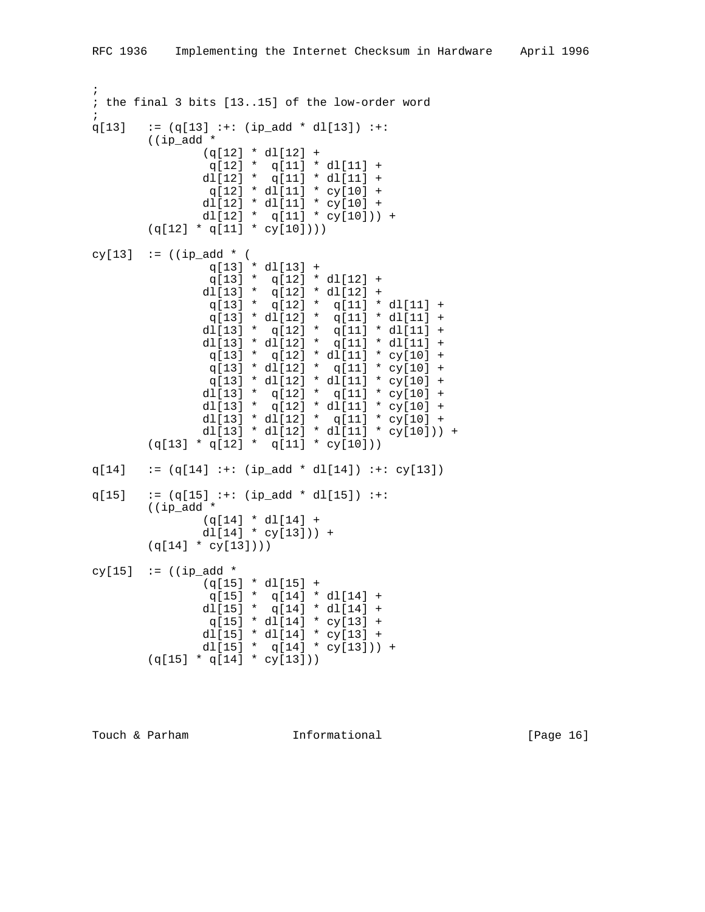```
;
; the final 3 bits [13..15] of the low-order word
;
q[13] := (q[13] :+: (ip\_add * d1[13]) :+: ((ip_add *
              (q[12] * d1[12] + q[12] * q[11] * dl[11] +
               dl[12] * q[11] * dl[11] +
               q[12] * d1[11] * cy[10] + dl[12] * dl[11] * cy[10] +
              dl[12] * q[11] * cy[10])) +
       (q[12] * q[11] * cy[10]))cy[13] := ((ip\_add * (i)) q[13] * dl[13] +
                q[13] * q[12] * dl[12] +
dl[13] * q[12] * dl[12] +
q[13] * q[12] * q[11] * dl[11] +
                q[13] * dl[12] * q[11] * dl[11] +
dl[13] * q[12] * q[11] * dl[11] +
dl[13] * dl[12] * q[11] * dl[11] +
               q[13] * q[12] * d1[11] * cy[10] +q[13] * dl[12] * q[11] * cy[10] +
                q[13] * dl[12] * dl[11] * cy[10] +
              dl[13] * q[12] * q[11] * cy[10] +
              dl[13] * q[12] * dl[11] * cy[10] +
              dl[13] * dl[12] * q[11] * cy[10] +
              dl[13] * dl[12] * dl[11] * cy[10])) +
       (q[13] * q[12] * q[11] * cy[10]))q[14] := (q[14] :+: (ip\_add * dl[14]) :+: cy[13])q[15] := (q[15] :+: (ip\_add * d1[15]) :+: ((ip_add *
               (q[14] * dl[14] +
              d1[14] * cy[13]) +
       (q[14] * cy[13]))cy[15] := (\text{ip\_add *})(q[15] * d1[15] +q[15] * q[14] * dl[14] +
dl[15] * q[14] * dl[14] +q[15] * d1[14] * cy[13] + dl[15] * dl[14] * cy[13] +
              dl[15] * q[14] * cy[13]) +
       (q[15] * q[14] * cy[13]))
```
Touch & Parham **Informational** [Page 16]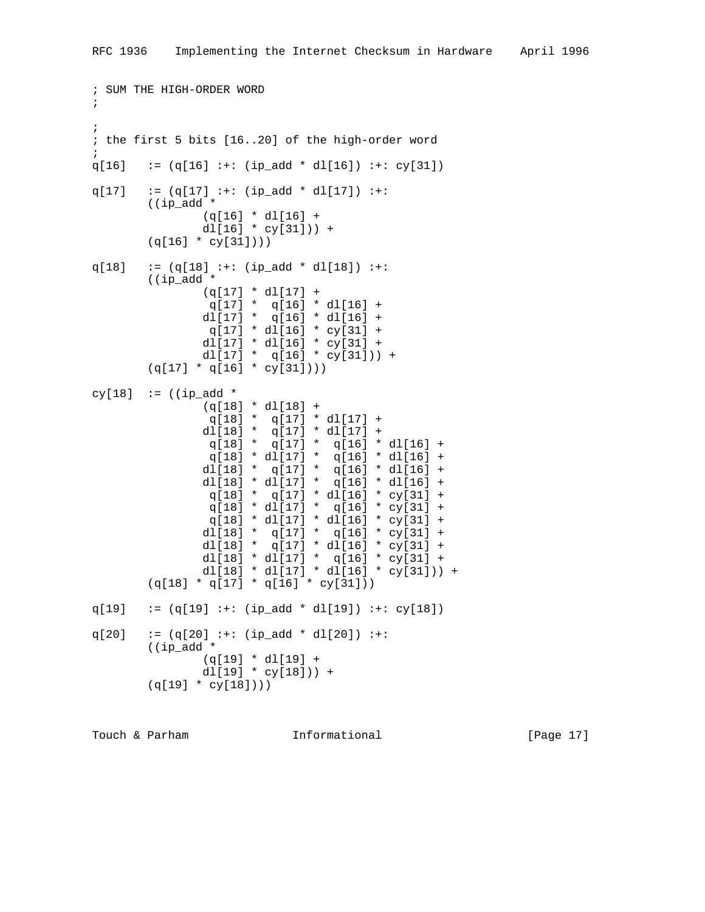```
; SUM THE HIGH-ORDER WORD
;
;
; the first 5 bits [16..20] of the high-order word
;
q[16] := (q[16] :+: (ip\_add * dl[16]) :+: cy[31])q[17] := (q[17] :+: (ip\_add * d1[17]) :+:
         ((ip_add *
                 (q[16] * dl[16] +
               dl[16] * cy[31]) +
         (q[16] * cy[31])))
q[18] := (q[18] :+: (ip\_add * d1[18]) :+: ((ip_add *
                 (q[17] * dl[17] +
                  q[17] * q[16] * dl[16] +
                 dl[17] * q[16] * dl[16] +
                q[17] * d1[16] * cy[31] + dl[17] * dl[16] * cy[31] +
               dl[17] * q[16] * cy[31]) +
        (q[17] * q[16] * cy[31]))cy[18] := ((ip_add *
                (q[18] * d1[18] + q[18] * q[17] * dl[17] +
                dl[18] * q[17] * dl[17] +
                  q[18] * q[17] * q[16] * dl[16] +
                  q[18] * dl[17] * q[16] * dl[16] +
                 dl[18] * q[17] * q[16] * dl[16] +
                 dl[18] * dl[17] * q[16] * dl[16] +
                 q[18] * q[17] * dl[16] * cy[31] +
                 q[18] * dl[17] * q[16] * cy[31] +
                 q[18] * dl[17] * dl[16] * cy[31] +
                dl[18] * q[17] * q[16] * cy[31] +
                dl[18] * q[17] * dl[16] * cy[31] +
                dl[18] * dl[17] * q[16] * cy[31] +
                dl[18] * dl[17] * dl[16] * cy[31])) +
        (q[18] * q[17] * q[16] * cy[31]))q[19] := (q[19] :+: (ip\_add * d1[19]) :+: cy[18])q[20] := (q[20] :+: (ip\_add * dl[20]) :+:
         ((ip_add *
                 (q[19] * dl[19] +
               dl[19] * cy[18]) +
         (q[19] * cy[18])))
```
Touch & Parham **Informational** [Page 17]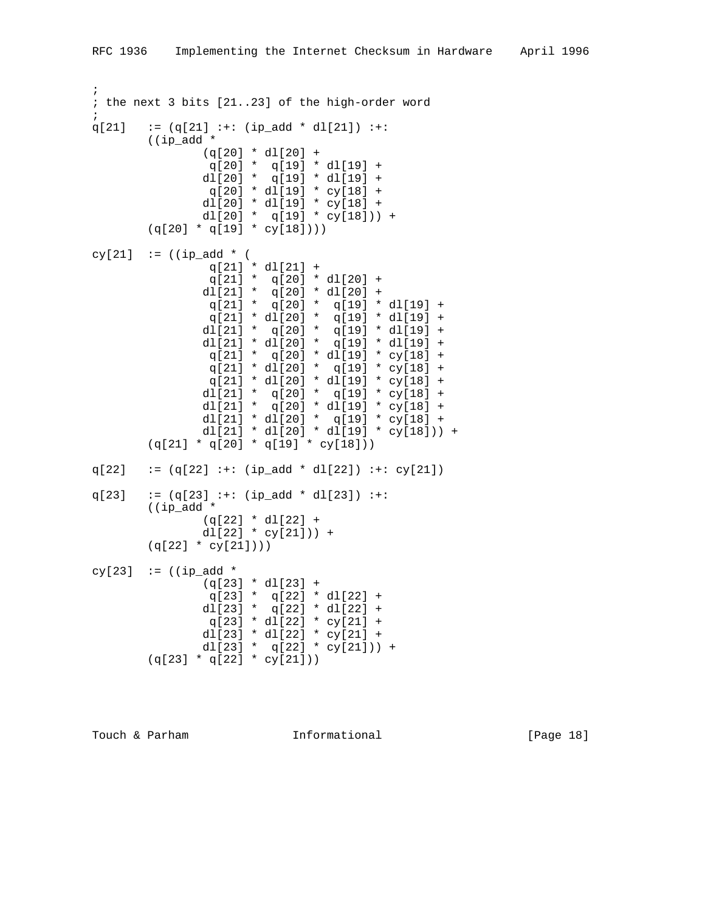; ; the next 3 bits [21..23] of the high-order word ;  $q[21]$  :=  $(q[21]$  :+:  $(ip\_add * d1[21])$  :+: ((ip\_add \*  $(q[20] * d1[20] +$  q[20] \* q[19] \* dl[19] + dl[20] \* q[19] \* dl[19] + q[20] \* dl[19] \* cy[18] + dl[20] \* dl[19] \* cy[18] + dl[20] \* q[19] \* cy[18])) +  $(q[20] * q[19] * cy[18]))$ cy[21]  $:= ((ip\_add * (i))$  q[21] \* dl[21] + q[21] \* q[20] \* dl[20] +  $dl[21] * q[20] * dl[20] +$ q[21] \* q[20] \* q[19] \* dl[19] + q[21] \* dl[20] \* q[19] \* dl[19] + dl[21] \* q[20] \* q[19] \* dl[19] + dl[21] \* dl[20] \*  $q[19]$  \* dl[19] + q[21] \* q[20] \* dl[19] \* cy[18] + q[21] \* dl[20] \* q[19] \* cy[18] + q[21] \* dl[20] \* dl[19] \* cy[18] + dl[21] \* q[20] \* q[19] \* cy[18] + dl[21] \*  $q[20]$  \* dl[19] \* cy[18] + dl[21] \* dl[20] \* q[19] \* cy[18] + dl[21] \* dl[20] \* dl[19] \* cy[18])) + (q[21] \* q[20] \* q[19] \* cy[18]))  $q[22]$  :=  $(q[22]$  :+:  $(ip\_add * d1[22])$  :+:  $cy[21])$  $q[23]$  :=  $(q[23]$  :+:  $(ip\_add * d1[23])$  :+: ((ip\_add \* (q[22] \* dl[22] +  $d1[22]$  \*  $cy[21])$  +  $(q[22] * cy[21]))$ cy[23]  $:=$  ((ip\_add \*  $(q[23] * d1[23] +$ q[23] \* q[22] \* dl[22] + dl[23] \*  $q[22]$  \* dl[22] + q[23] \* dl[22] \* cy[21] + dl[23] \* dl[22] \* cy[21] + dl[23] \* q[22] \*  $cy[21])$  +  $(q[23] * q[22] * cy[21]))$ 

Touch & Parham **Informational** [Page 18]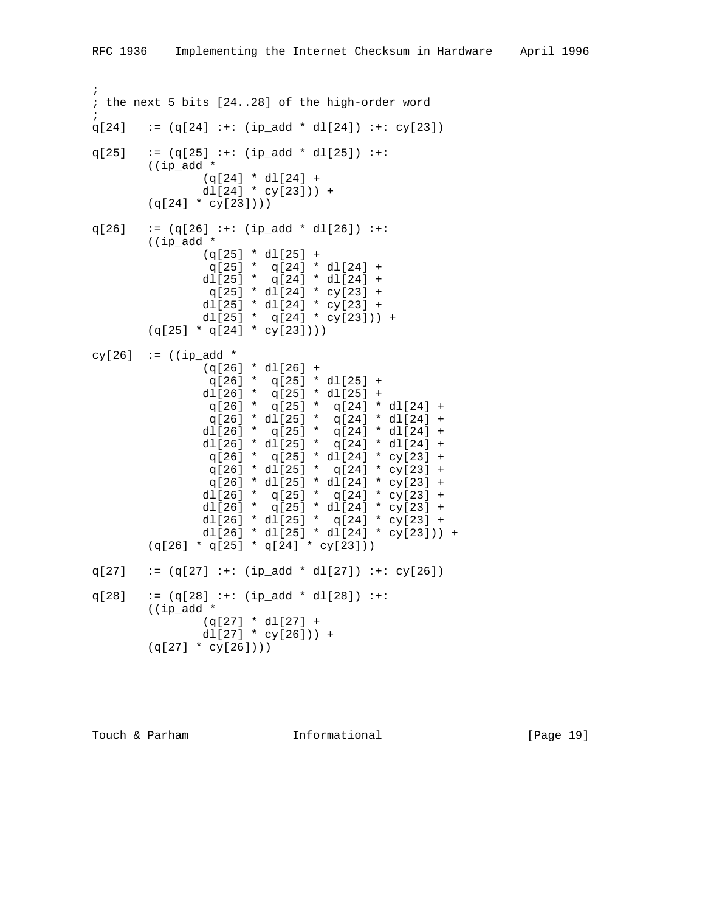; ; the next 5 bits [24..28] of the high-order word ;  $q[24]$  :=  $(q[24]$  :+:  $(ip\_add * dl[24])$  :+:  $cy[23])$  $q[25]$  :=  $(q[25]$  :+:  $(ip\_add * d1[25])$  :+: ((ip\_add \*  $(q[24] * d1[24] +$  $dl[24] * cy[23])$  +  $(q[24] * cy[23]))$  $q[26]$  :=  $(q[26]$  :+:  $(ip\_add * d1[26])$  :+: ((ip\_add \*  $(q[25] * d1[25] +$ q[25] \* q[24] \* dl[24] +  $dl[25]$  \*  $q[24]$  \*  $dl[24]$  + q[25] \* dl[24] \* cy[23] + dl[25] \* dl[24] \* cy[23] + dl[25] \* q[24] \* cy[23])) +  $(q[25] * q[24] * cy[23]))$ cy[26]  $:=$  ((ip\_add \* (q[26] \* dl[26] +  $q[26] * q[25] * d1[25] +$  $d1[26] * q[25] * d1[25] +$ q[26] \* q[25] \* q[24] \* dl[24] + q[26] \* dl[25] \* q[24] \* dl[24] + dl[26] \* q[25] \* q[24] \* dl[24] + dl[26] \* dl[25] \* q[24] \* dl[24] +  $q[26]$  \*  $q[25]$  \* dl[24] \* cy[23] +  $q[26] * d1[25] * q[24] * cy[23] +$  q[26] \* dl[25] \* dl[24] \* cy[23] + dl[26] \* q[25] \* q[24] \* cy[23] + dl[26] \*  $q[25]$  \* dl[24] \* cy[23] + dl[26] \* dl[25] \* q[24] \* cy[23] + dl[26] \* dl[25] \* dl[24] \* cy[23])) +  $(q[26] * q[25] * q[24] * cy[23]))$  $q[27]$  :=  $(q[27]$  :+:  $(ip\_add * dl[27])$  :+:  $cy[26])$ q[28]  $:= (q[28] :+: (ip\_add * d1[28]) :+:$  ((ip\_add \* (q[27] \* dl[27] + dl $[27]$  \* cy $[26]$ ) +  $(q[27] * cy[26]))$ 

Touch & Parham **Informational** [Page 19]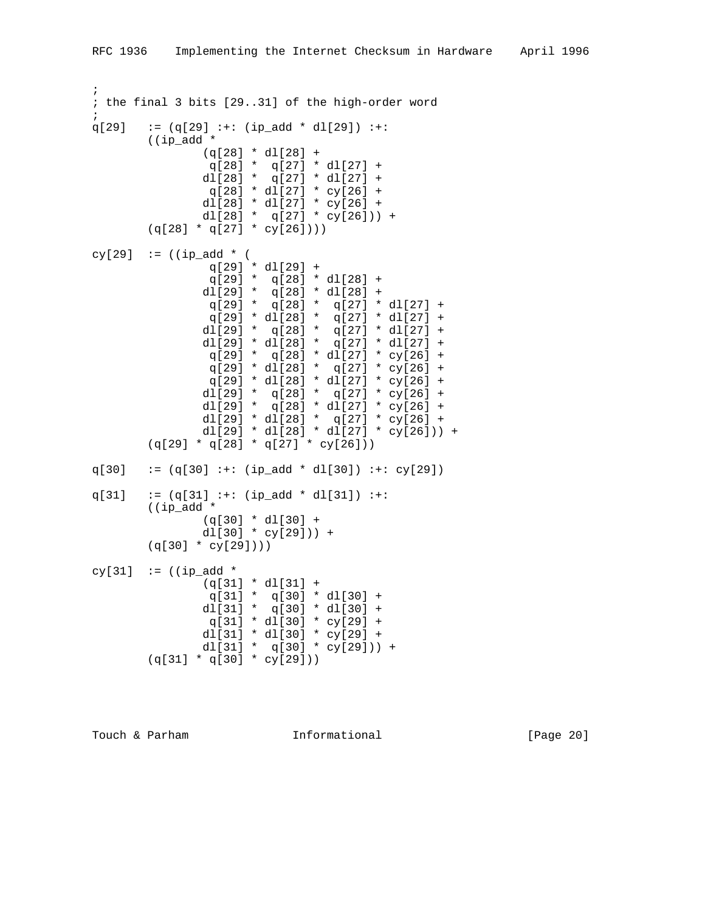```
;
; the final 3 bits [29..31] of the high-order word
;
q[29] := (q[29] :+: (ip\_add * d1[29]) :+:
        ((ip_add *
               (q[28] * d1[28] + q[28] * q[27] * dl[27] +
                dl[28] * q[27] * dl[27] +
                q[28] * dl[27] * cy[26] +
                dl[28] * dl[27] * cy[26] +
               dl[28] * q[27] * cy[26])) +
       (q[28] * q[27] * cy[26]))cy[29] := ((ip\_add * (i)) q[29] * dl[29] +
                 q[29] * q[28] * dl[28] +
dl[29] * q[28] * dl[28] +q[29] * q[28] * q[27] * dl[27] +
                 q[29] * dl[28] * q[27] * dl[27] +
dl[29] * q[28] * q[27] * dl[27] +
dl[29] * dl[28] * q[27] * dl[27] +
                q[29] * q[28] * dl[27] * cy[26] +
                q[29] * dl[28] * q[27] * cy[26] +
                q[29] * dl[28] * dl[27] * cy[26] +
               dl[29] * q[28] * q[27] * cy[26] +
                dl[29] * q[28] * dl[27] * cy[26] +
                dl[29] * dl[28] * q[27] * cy[26] +
              dl[29] * dl[28] * dl[27] * cy[26])) +
       (q[29] * q[28] * q[27] * cy[26]))q[30] := (q[30] :+: (ip\_add * d1[30]) :+: cy[29])q[31] := (q[31] :+: (ip\_add * d1[31]) :+: ((ip_add *
                (q[30] * dl[30] +
              dl[30] * cy[29]) +
        (q[30] * cy[29])))
cy[31] \mathbf{r} = ((ip\_add * (q[31] * dl[31] +
q[31] * q[30] * dl[30] +
dl[31] * q[30] * dl[30] +
                q[31] * dl[30] * cy[29] +
               dl[31] * dl[30] * cy[29] +
               dl[31] * q[30] * cy[29])) +
        (q[31] * q[30] * cy[29]))
```
Touch & Parham **Informational** [Page 20]